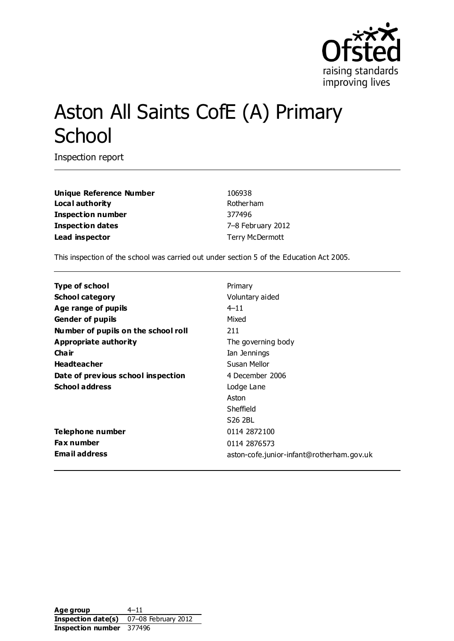

# Aston All Saints CofE (A) Primary **School**

Inspection report

**Unique Reference Number** 106938 Local authority **Rotherham Inspection number** 377496 **Inspection dates** 7–8 February 2012 Lead inspector and the set of the Terry McDermott

This inspection of the school was carried out under section 5 of the Education Act 2005.

| <b>Type of school</b>               | Primary                                   |
|-------------------------------------|-------------------------------------------|
| <b>School category</b>              | Voluntary aided                           |
| Age range of pupils                 | $4 - 11$                                  |
| <b>Gender of pupils</b>             | Mixed                                     |
| Number of pupils on the school roll | 211                                       |
| Appropriate authority               | The governing body                        |
| Cha ir                              | Ian Jennings                              |
| <b>Headteacher</b>                  | Susan Mellor                              |
| Date of previous school inspection  | 4 December 2006                           |
| <b>School address</b>               | Lodge Lane                                |
|                                     | Aston                                     |
|                                     | Sheffield                                 |
|                                     | S <sub>26</sub> 2BL                       |
| Telephone number                    | 0114 2872 100                             |
| <b>Fax number</b>                   | 0114 2876573                              |
| <b>Email address</b>                | aston-cofe.junior-infant@rotherham.gov.uk |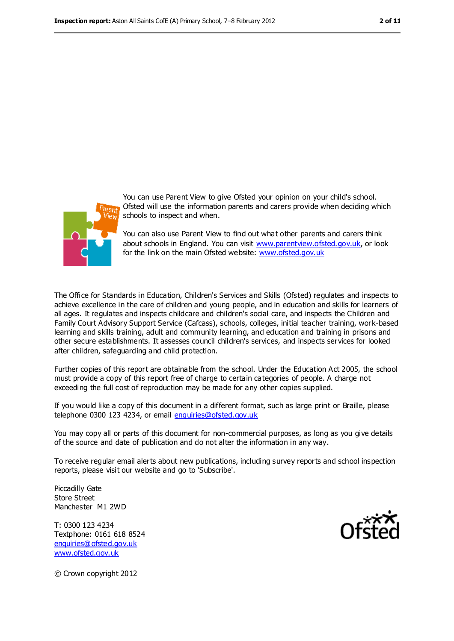



You can use Parent View to give Ofsted your opinion on your child's school. Ofsted will use the information parents and carers provide when deciding which schools to inspect and when.

You can also use Parent View to find out what other parents and carers think about schools in England. You can visit [www.parentview.ofsted.gov.uk,](file:///C:/Users/rcowley/AppData/Local%20Settings/Applications/Microsoft%20Office%202011/Microsoft%20Word.app/Contents/www.parentview.ofsted.gov.uk) or look for the link on the main Ofsted website: [www.ofsted.gov.uk](file:///C:/Users/rcowley/AppData/Local%20Settings/Applications/Microsoft%20Office%202011/Microsoft%20Word.app/Contents/www.ofsted.gov.uk)

The Office for Standards in Education, Children's Services and Skills (Ofsted) regulates and inspects to achieve excellence in the care of children and young people, and in education and skills for learners of all ages. It regulates and inspects childcare and children's social care, and inspects the Children and Family Court Advisory Support Service (Cafcass), schools, colleges, initial teacher training, work-based learning and skills training, adult and community learning, and education and training in prisons and other secure establishments. It assesses council children's services, and inspects services for looked after children, safeguarding and child protection.

Further copies of this report are obtainable from the school. Under the Education Act 2005, the school must provide a copy of this report free of charge to certain categories of people. A charge not exceeding the full cost of reproduction may be made for any other copies supplied.

If you would like a copy of this document in a different format, such as large print or Braille, please telephone 0300 123 4234, or email [enquiries@ofsted.gov.uk](mailto:enquiries@ofsted.gov.uk)

You may copy all or parts of this document for non-commercial purposes, as long as you give details of the source and date of publication and do not alter the information in any way.

To receive regular email alerts about new publications, including survey reports and school inspection reports, please visit our website and go to 'Subscribe'.

Piccadilly Gate Store Street Manchester M1 2WD

T: 0300 123 4234 Textphone: 0161 618 8524 [enquiries@ofsted.gov.uk](mailto:enquiries@ofsted.gov.uk) [www.ofsted.gov.uk](http://www.ofsted.gov.uk/)



© Crown copyright 2012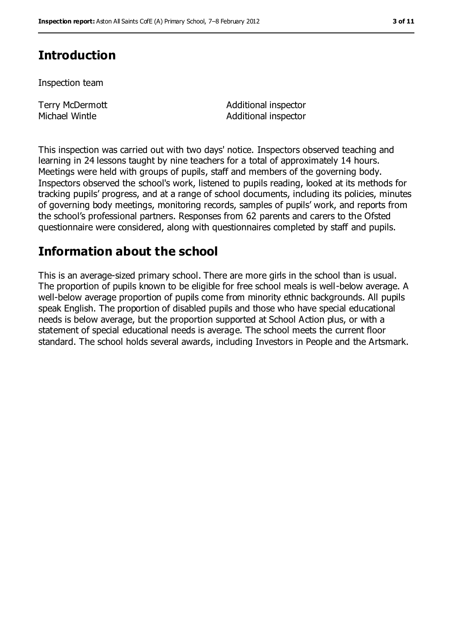# **Introduction**

Inspection team

Terry McDermott Michael Wintle

Additional inspector Additional inspector

This inspection was carried out with two days' notice. Inspectors observed teaching and learning in 24 lessons taught by nine teachers for a total of approximately 14 hours. Meetings were held with groups of pupils, staff and members of the governing body. Inspectors observed the school's work, listened to pupils reading, looked at its methods for tracking pupils' progress, and at a range of school documents, including its policies, minutes of governing body meetings, monitoring records, samples of pupils' work, and reports from the school's professional partners. Responses from 62 parents and carers to the Ofsted questionnaire were considered, along with questionnaires completed by staff and pupils.

## **Information about the school**

This is an average-sized primary school. There are more girls in the school than is usual. The proportion of pupils known to be eligible for free school meals is well-below average. A well-below average proportion of pupils come from minority ethnic backgrounds. All pupils speak English. The proportion of disabled pupils and those who have special educational needs is below average, but the proportion supported at School Action plus, or with a statement of special educational needs is average. The school meets the current floor standard. The school holds several awards, including Investors in People and the Artsmark.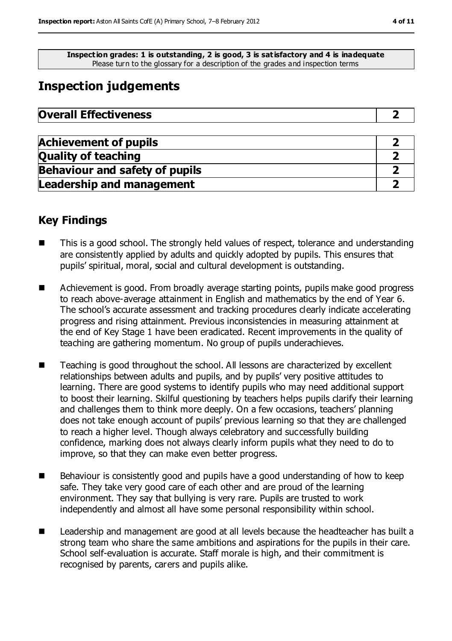**Inspection grades: 1 is outstanding, 2 is good, 3 is satisfactory and 4 is inadequate** Please turn to the glossary for a description of the grades and inspection terms

# **Inspection judgements**

| <b>Overall Effectiveness</b> |  |
|------------------------------|--|
|------------------------------|--|

| <b>Achievement of pupils</b>          |  |
|---------------------------------------|--|
| <b>Quality of teaching</b>            |  |
| <b>Behaviour and safety of pupils</b> |  |
| <b>Leadership and management</b>      |  |

## **Key Findings**

- This is a good school. The strongly held values of respect, tolerance and understanding are consistently applied by adults and quickly adopted by pupils. This ensures that pupils' spiritual, moral, social and cultural development is outstanding.
- Achievement is good. From broadly average starting points, pupils make good progress to reach above-average attainment in English and mathematics by the end of Year 6. The school's accurate assessment and tracking procedures clearly indicate accelerating progress and rising attainment. Previous inconsistencies in measuring attainment at the end of Key Stage 1 have been eradicated. Recent improvements in the quality of teaching are gathering momentum. No group of pupils underachieves.
- Teaching is good throughout the school. All lessons are characterized by excellent relationships between adults and pupils, and by pupils' very positive attitudes to learning. There are good systems to identify pupils who may need additional support to boost their learning. Skilful questioning by teachers helps pupils clarify their learning and challenges them to think more deeply. On a few occasions, teachers' planning does not take enough account of pupils' previous learning so that they are challenged to reach a higher level. Though always celebratory and successfully building confidence, marking does not always clearly inform pupils what they need to do to improve, so that they can make even better progress.
- Behaviour is consistently good and pupils have a good understanding of how to keep safe. They take very good care of each other and are proud of the learning environment. They say that bullying is very rare. Pupils are trusted to work independently and almost all have some personal responsibility within school.
- Leadership and management are good at all levels because the headteacher has built a strong team who share the same ambitions and aspirations for the pupils in their care. School self-evaluation is accurate. Staff morale is high, and their commitment is recognised by parents, carers and pupils alike.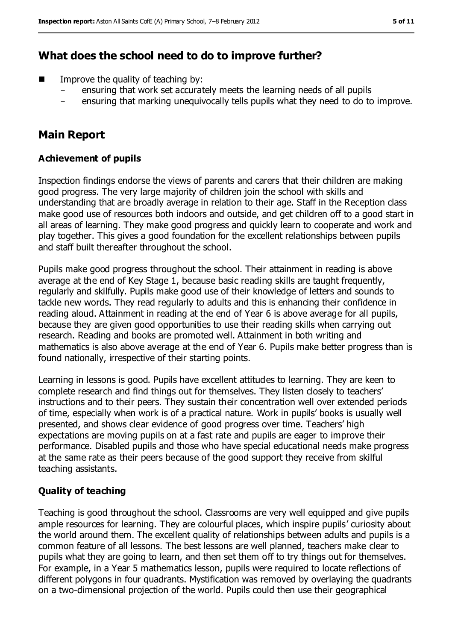## **What does the school need to do to improve further?**

- Improve the quality of teaching by:
	- ensuring that work set accurately meets the learning needs of all pupils
	- ensuring that marking unequivocally tells pupils what they need to do to improve.

## **Main Report**

#### **Achievement of pupils**

Inspection findings endorse the views of parents and carers that their children are making good progress. The very large majority of children join the school with skills and understanding that are broadly average in relation to their age. Staff in the Reception class make good use of resources both indoors and outside, and get children off to a good start in all areas of learning. They make good progress and quickly learn to cooperate and work and play together. This gives a good foundation for the excellent relationships between pupils and staff built thereafter throughout the school.

Pupils make good progress throughout the school. Their attainment in reading is above average at the end of Key Stage 1, because basic reading skills are taught frequently, regularly and skilfully. Pupils make good use of their knowledge of letters and sounds to tackle new words. They read regularly to adults and this is enhancing their confidence in reading aloud. Attainment in reading at the end of Year 6 is above average for all pupils, because they are given good opportunities to use their reading skills when carrying out research. Reading and books are promoted well. Attainment in both writing and mathematics is also above average at the end of Year 6. Pupils make better progress than is found nationally, irrespective of their starting points.

Learning in lessons is good. Pupils have excellent attitudes to learning. They are keen to complete research and find things out for themselves. They listen closely to teachers' instructions and to their peers. They sustain their concentration well over extended periods of time, especially when work is of a practical nature. Work in pupils' books is usually well presented, and shows clear evidence of good progress over time. Teachers' high expectations are moving pupils on at a fast rate and pupils are eager to improve their performance. Disabled pupils and those who have special educational needs make progress at the same rate as their peers because of the good support they receive from skilful teaching assistants.

#### **Quality of teaching**

Teaching is good throughout the school. Classrooms are very well equipped and give pupils ample resources for learning. They are colourful places, which inspire pupils' curiosity about the world around them. The excellent quality of relationships between adults and pupils is a common feature of all lessons. The best lessons are well planned, teachers make clear to pupils what they are going to learn, and then set them off to try things out for themselves. For example, in a Year 5 mathematics lesson, pupils were required to locate reflections of different polygons in four quadrants. Mystification was removed by overlaying the quadrants on a two-dimensional projection of the world. Pupils could then use their geographical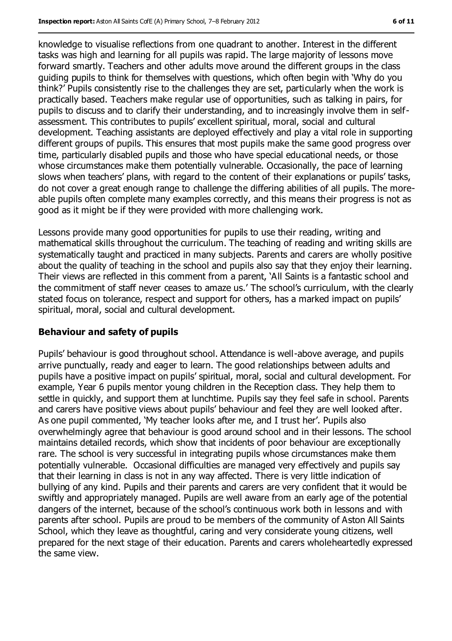knowledge to visualise reflections from one quadrant to another. Interest in the different tasks was high and learning for all pupils was rapid. The large majority of lessons move forward smartly. Teachers and other adults move around the different groups in the class guiding pupils to think for themselves with questions, which often begin with 'Why do you think?' Pupils consistently rise to the challenges they are set, particularly when the work is practically based. Teachers make regular use of opportunities, such as talking in pairs, for pupils to discuss and to clarify their understanding, and to increasingly involve them in selfassessment. This contributes to pupils' excellent spiritual, moral, social and cultural development. Teaching assistants are deployed effectively and play a vital role in supporting different groups of pupils. This ensures that most pupils make the same good progress over time, particularly disabled pupils and those who have special educational needs, or those whose circumstances make them potentially vulnerable. Occasionally, the pace of learning slows when teachers' plans, with regard to the content of their explanations or pupils' tasks, do not cover a great enough range to challenge the differing abilities of all pupils. The moreable pupils often complete many examples correctly, and this means their progress is not as good as it might be if they were provided with more challenging work.

Lessons provide many good opportunities for pupils to use their reading, writing and mathematical skills throughout the curriculum. The teaching of reading and writing skills are systematically taught and practiced in many subjects. Parents and carers are wholly positive about the quality of teaching in the school and pupils also say that they enjoy their learning. Their views are reflected in this comment from a parent, 'All Saints is a fantastic school and the commitment of staff never ceases to amaze us.' The school's curriculum, with the clearly stated focus on tolerance, respect and support for others, has a marked impact on pupils' spiritual, moral, social and cultural development.

#### **Behaviour and safety of pupils**

Pupils' behaviour is good throughout school. Attendance is well-above average, and pupils arrive punctually, ready and eager to learn. The good relationships between adults and pupils have a positive impact on pupils' spiritual, moral, social and cultural development. For example, Year 6 pupils mentor young children in the Reception class. They help them to settle in quickly, and support them at lunchtime. Pupils say they feel safe in school. Parents and carers have positive views about pupils' behaviour and feel they are well looked after. As one pupil commented, 'My teacher looks after me, and I trust her'. Pupils also overwhelmingly agree that behaviour is good around school and in their lessons. The school maintains detailed records, which show that incidents of poor behaviour are exceptionally rare. The school is very successful in integrating pupils whose circumstances make them potentially vulnerable. Occasional difficulties are managed very effectively and pupils say that their learning in class is not in any way affected. There is very little indication of bullying of any kind. Pupils and their parents and carers are very confident that it would be swiftly and appropriately managed. Pupils are well aware from an early age of the potential dangers of the internet, because of the school's continuous work both in lessons and with parents after school. Pupils are proud to be members of the community of Aston All Saints School, which they leave as thoughtful, caring and very considerate young citizens, well prepared for the next stage of their education. Parents and carers wholeheartedly expressed the same view.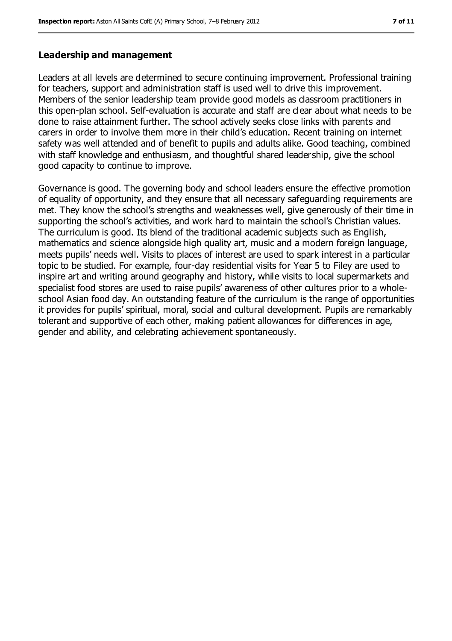#### **Leadership and management**

Leaders at all levels are determined to secure continuing improvement. Professional training for teachers, support and administration staff is used well to drive this improvement. Members of the senior leadership team provide good models as classroom practitioners in this open-plan school. Self-evaluation is accurate and staff are clear about what needs to be done to raise attainment further. The school actively seeks close links with parents and carers in order to involve them more in their child's education. Recent training on internet safety was well attended and of benefit to pupils and adults alike. Good teaching, combined with staff knowledge and enthusiasm, and thoughtful shared leadership, give the school good capacity to continue to improve.

Governance is good. The governing body and school leaders ensure the effective promotion of equality of opportunity, and they ensure that all necessary safeguarding requirements are met. They know the school's strengths and weaknesses well, give generously of their time in supporting the school's activities, and work hard to maintain the school's Christian values. The curriculum is good. Its blend of the traditional academic subjects such as English, mathematics and science alongside high quality art, music and a modern foreign language, meets pupils' needs well. Visits to places of interest are used to spark interest in a particular topic to be studied. For example, four-day residential visits for Year 5 to Filey are used to inspire art and writing around geography and history, while visits to local supermarkets and specialist food stores are used to raise pupils' awareness of other cultures prior to a wholeschool Asian food day. An outstanding feature of the curriculum is the range of opportunities it provides for pupils' spiritual, moral, social and cultural development. Pupils are remarkably tolerant and supportive of each other, making patient allowances for differences in age, gender and ability, and celebrating achievement spontaneously.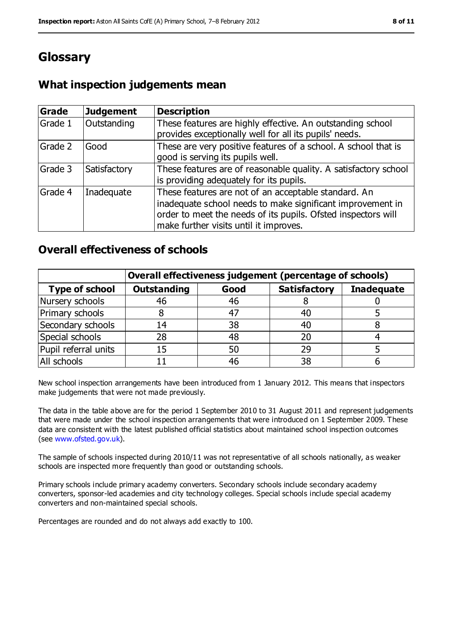# **Glossary**

## **What inspection judgements mean**

| Grade   | <b>Judgement</b> | <b>Description</b>                                                                                                                                                                                                            |
|---------|------------------|-------------------------------------------------------------------------------------------------------------------------------------------------------------------------------------------------------------------------------|
| Grade 1 | Outstanding      | These features are highly effective. An outstanding school<br>provides exceptionally well for all its pupils' needs.                                                                                                          |
| Grade 2 | Good             | These are very positive features of a school. A school that is<br>good is serving its pupils well.                                                                                                                            |
| Grade 3 | Satisfactory     | These features are of reasonable quality. A satisfactory school<br>is providing adequately for its pupils.                                                                                                                    |
| Grade 4 | Inadequate       | These features are not of an acceptable standard. An<br>inadequate school needs to make significant improvement in<br>order to meet the needs of its pupils. Ofsted inspectors will<br>make further visits until it improves. |

### **Overall effectiveness of schools**

|                       | Overall effectiveness judgement (percentage of schools) |      |                     |                   |
|-----------------------|---------------------------------------------------------|------|---------------------|-------------------|
| <b>Type of school</b> | <b>Outstanding</b>                                      | Good | <b>Satisfactory</b> | <b>Inadequate</b> |
| Nursery schools       | 46                                                      | 46   |                     |                   |
| Primary schools       |                                                         | 47   | 40                  |                   |
| Secondary schools     | 14                                                      | 38   | 40                  |                   |
| Special schools       | 28                                                      | 48   | 20                  |                   |
| Pupil referral units  | 15                                                      | 50   | 29                  |                   |
| All schools           |                                                         | 46   | 38                  |                   |

New school inspection arrangements have been introduced from 1 January 2012. This means that inspectors make judgements that were not made previously.

The data in the table above are for the period 1 September 2010 to 31 August 2011 and represent judgements that were made under the school inspection arrangements that were introduced on 1 September 2009. These data are consistent with the latest published official statistics about maintained school inspection outcomes (see [www.ofsted.gov.uk\)](file:///C:/Users/rcowley/AppData/Local%20Settings/Applications/Microsoft%20Office%202011/Microsoft%20Word.app/Contents/www.ofsted.gov.uk).

The sample of schools inspected during 2010/11 was not representative of all schools nationally, as weaker schools are inspected more frequently than good or outstanding schools.

Primary schools include primary academy converters. Secondary schools include secondary academy converters, sponsor-led academies and city technology colleges. Special schools include special academy converters and non-maintained special schools.

Percentages are rounded and do not always add exactly to 100.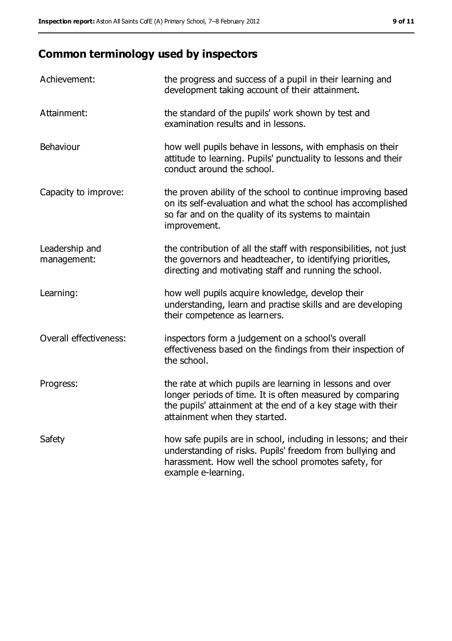# **Common terminology used by inspectors**

| Achievement:                  | the progress and success of a pupil in their learning and<br>development taking account of their attainment.                                                                                                           |
|-------------------------------|------------------------------------------------------------------------------------------------------------------------------------------------------------------------------------------------------------------------|
| Attainment:                   | the standard of the pupils' work shown by test and<br>examination results and in lessons.                                                                                                                              |
| Behaviour                     | how well pupils behave in lessons, with emphasis on their<br>attitude to learning. Pupils' punctuality to lessons and their<br>conduct around the school.                                                              |
| Capacity to improve:          | the proven ability of the school to continue improving based<br>on its self-evaluation and what the school has accomplished<br>so far and on the quality of its systems to maintain<br>improvement.                    |
| Leadership and<br>management: | the contribution of all the staff with responsibilities, not just<br>the governors and headteacher, to identifying priorities,<br>directing and motivating staff and running the school.                               |
| Learning:                     | how well pupils acquire knowledge, develop their<br>understanding, learn and practise skills and are developing<br>their competence as learners.                                                                       |
| Overall effectiveness:        | inspectors form a judgement on a school's overall<br>effectiveness based on the findings from their inspection of<br>the school.                                                                                       |
| Progress:                     | the rate at which pupils are learning in lessons and over<br>longer periods of time. It is often measured by comparing<br>the pupils' attainment at the end of a key stage with their<br>attainment when they started. |
| Safety                        | how safe pupils are in school, including in lessons; and their<br>understanding of risks. Pupils' freedom from bullying and<br>harassment. How well the school promotes safety, for<br>example e-learning.             |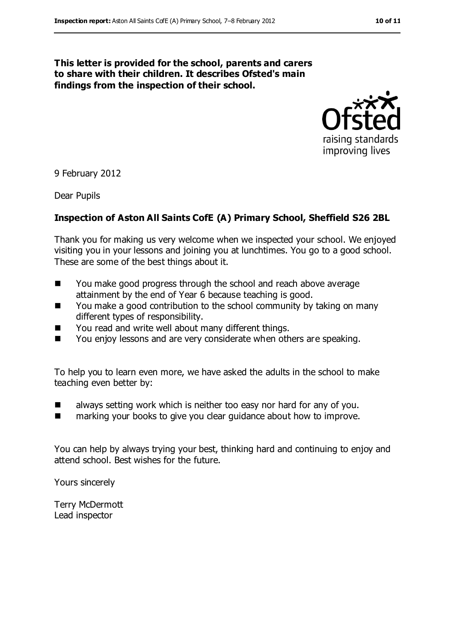#### **This letter is provided for the school, parents and carers to share with their children. It describes Ofsted's main findings from the inspection of their school.**



9 February 2012

Dear Pupils

#### **Inspection of Aston All Saints CofE (A) Primary School, Sheffield S26 2BL**

Thank you for making us very welcome when we inspected your school. We enjoyed visiting you in your lessons and joining you at lunchtimes. You go to a good school. These are some of the best things about it.

- You make good progress through the school and reach above average attainment by the end of Year 6 because teaching is good.
- You make a good contribution to the school community by taking on many different types of responsibility.
- You read and write well about many different things.
- You enjoy lessons and are very considerate when others are speaking.

To help you to learn even more, we have asked the adults in the school to make teaching even better by:

- $\blacksquare$  always setting work which is neither too easy nor hard for any of you.
- marking your books to give you clear guidance about how to improve.

You can help by always trying your best, thinking hard and continuing to enjoy and attend school. Best wishes for the future.

Yours sincerely

Terry McDermott Lead inspector